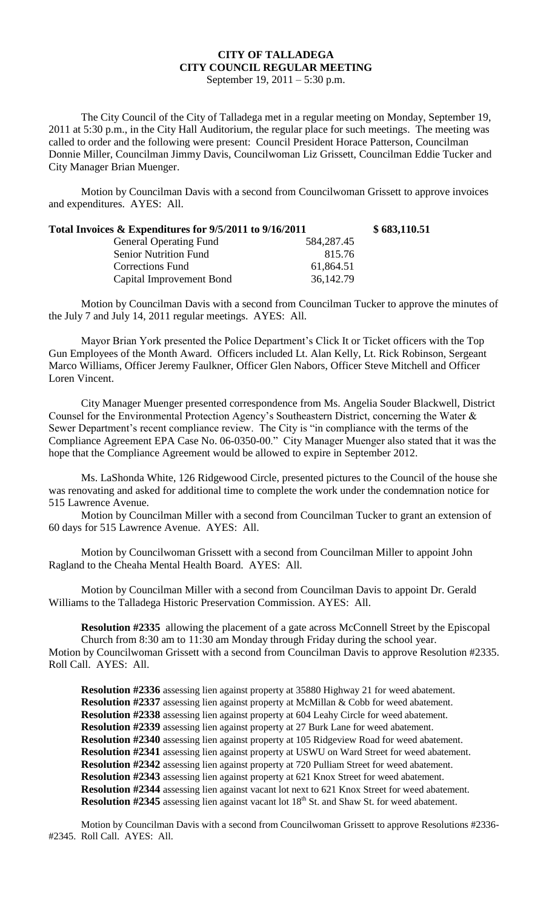## **CITY OF TALLADEGA CITY COUNCIL REGULAR MEETING**

September 19, 2011 – 5:30 p.m.

The City Council of the City of Talladega met in a regular meeting on Monday, September 19, 2011 at 5:30 p.m., in the City Hall Auditorium, the regular place for such meetings. The meeting was called to order and the following were present: Council President Horace Patterson, Councilman Donnie Miller, Councilman Jimmy Davis, Councilwoman Liz Grissett, Councilman Eddie Tucker and City Manager Brian Muenger.

Motion by Councilman Davis with a second from Councilwoman Grissett to approve invoices and expenditures. AYES: All.

| Total Invoices & Expenditures for 9/5/2011 to 9/16/2011 |            | \$683,110.51 |
|---------------------------------------------------------|------------|--------------|
| <b>General Operating Fund</b>                           | 584,287.45 |              |
| <b>Senior Nutrition Fund</b>                            | 815.76     |              |
| Corrections Fund                                        | 61,864.51  |              |
| Capital Improvement Bond                                | 36,142.79  |              |

Motion by Councilman Davis with a second from Councilman Tucker to approve the minutes of the July 7 and July 14, 2011 regular meetings. AYES: All.

Mayor Brian York presented the Police Department's Click It or Ticket officers with the Top Gun Employees of the Month Award. Officers included Lt. Alan Kelly, Lt. Rick Robinson, Sergeant Marco Williams, Officer Jeremy Faulkner, Officer Glen Nabors, Officer Steve Mitchell and Officer Loren Vincent.

City Manager Muenger presented correspondence from Ms. Angelia Souder Blackwell, District Counsel for the Environmental Protection Agency's Southeastern District, concerning the Water & Sewer Department's recent compliance review. The City is "in compliance with the terms of the Compliance Agreement EPA Case No. 06-0350-00." City Manager Muenger also stated that it was the hope that the Compliance Agreement would be allowed to expire in September 2012.

Ms. LaShonda White, 126 Ridgewood Circle, presented pictures to the Council of the house she was renovating and asked for additional time to complete the work under the condemnation notice for 515 Lawrence Avenue.

Motion by Councilman Miller with a second from Councilman Tucker to grant an extension of 60 days for 515 Lawrence Avenue. AYES: All.

Motion by Councilwoman Grissett with a second from Councilman Miller to appoint John Ragland to the Cheaha Mental Health Board. AYES: All.

Motion by Councilman Miller with a second from Councilman Davis to appoint Dr. Gerald Williams to the Talladega Historic Preservation Commission. AYES: All.

**Resolution #2335** allowing the placement of a gate across McConnell Street by the Episcopal Church from 8:30 am to 11:30 am Monday through Friday during the school year. Motion by Councilwoman Grissett with a second from Councilman Davis to approve Resolution #2335. Roll Call. AYES: All.

**Resolution #2336** assessing lien against property at 35880 Highway 21 for weed abatement. **Resolution #2337** assessing lien against property at McMillan & Cobb for weed abatement. **Resolution #2338** assessing lien against property at 604 Leahy Circle for weed abatement. **Resolution #2339** assessing lien against property at 27 Burk Lane for weed abatement. **Resolution #2340** assessing lien against property at 105 Ridgeview Road for weed abatement. **Resolution #2341** assessing lien against property at USWU on Ward Street for weed abatement. **Resolution #2342** assessing lien against property at 720 Pulliam Street for weed abatement. **Resolution #2343** assessing lien against property at 621 Knox Street for weed abatement. **Resolution #2344** assessing lien against vacant lot next to 621 Knox Street for weed abatement. **Resolution #2345** assessing lien against vacant lot 18<sup>th</sup> St. and Shaw St. for weed abatement.

Motion by Councilman Davis with a second from Councilwoman Grissett to approve Resolutions #2336- #2345. Roll Call. AYES: All.